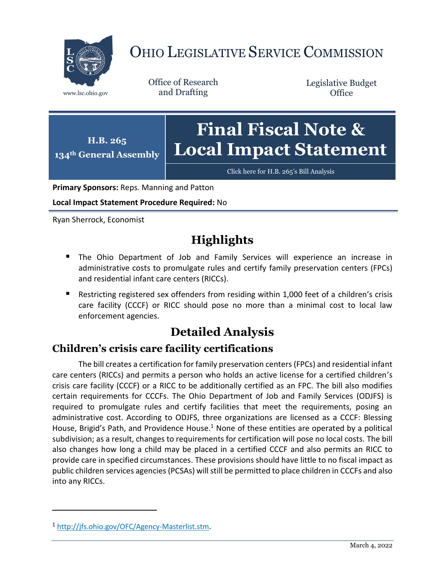

# OHIO LEGISLATIVE SERVICE COMMISSION

Office of Research www.lsc.ohio.gov and Drafting

Legislative Budget **Office** 

**H.B. 265 134th General Assembly Final Fiscal Note & Local Impact Statement**

[Click here for H.B. 265](https://www.legislature.ohio.gov/legislation/legislation-documents?id=GA134-HB-265)'s Bill Analysis

**Primary Sponsors:** Reps. Manning and Patton

**Local Impact Statement Procedure Required:** No

Ryan Sherrock, Economist

### **Highlights**

- The Ohio Department of Job and Family Services will experience an increase in administrative costs to promulgate rules and certify family preservation centers (FPCs) and residential infant care centers (RICCs).
- Restricting registered sex offenders from residing within 1,000 feet of a children's crisis care facility (CCCF) or RICC should pose no more than a minimal cost to local law enforcement agencies.

## **Detailed Analysis**

#### **Children's crisis care facility certifications**

The bill creates a certification for family preservation centers (FPCs) and residential infant care centers (RICCs) and permits a person who holds an active license for a certified children's crisis care facility (CCCF) or a RICC to be additionally certified as an FPC. The bill also modifies certain requirements for CCCFs. The Ohio Department of Job and Family Services (ODJFS) is required to promulgate rules and certify facilities that meet the requirements, posing an administrative cost. According to ODJFS, three organizations are licensed as a CCCF: Blessing House, Brigid's Path, and Providence House.<sup>1</sup> None of these entities are operated by a political subdivision; as a result, changes to requirements for certification will pose no local costs. The bill also changes how long a child may be placed in a certified CCCF and also permits an RICC to provide care in specified circumstances. These provisions should have little to no fiscal impact as public children services agencies (PCSAs) will still be permitted to place children in CCCFs and also into any RICCs.

 $\overline{a}$ 

<sup>1</sup> [http://jfs.ohio.gov/OFC/Agency-Masterlist.stm.](http://jfs.ohio.gov/OFC/Agency-Masterlist.stm)